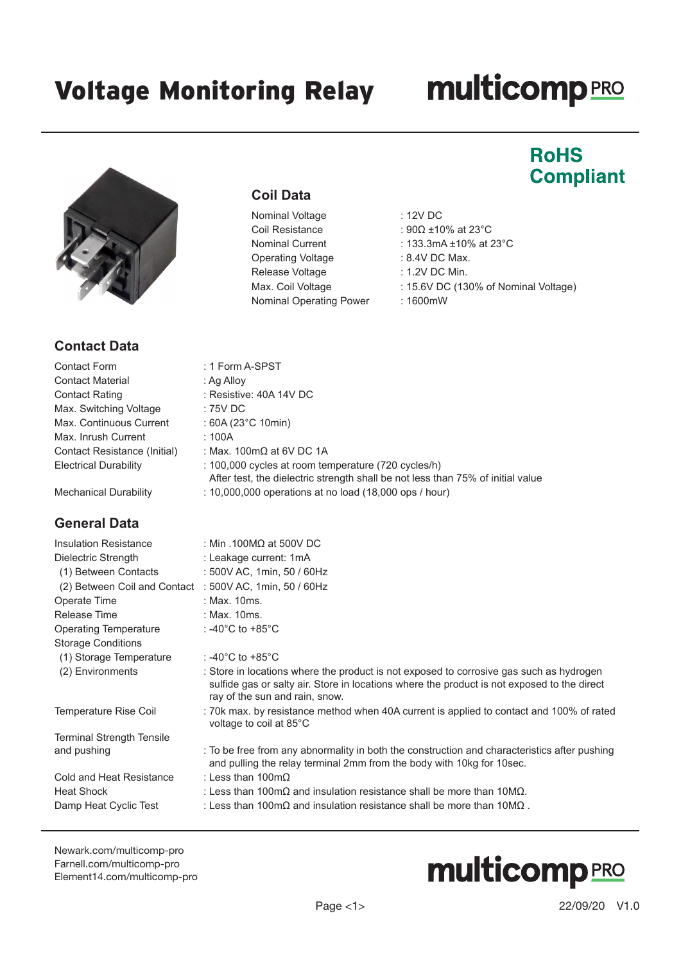**Coil Data**

: 1 Form A-SPST : Ag Alloy

 $: 60A (23°C 10min)$ 

 $: 75V$  DC

 $: 100A$ 

: Resistive: 40A 14V DC

: Max. 100m $\Omega$  at 6V DC 1A

Nominal Voltage : 12V DC

Nominal Operating Power : 1600mW

Coil Resistance : 90Ω ±10% at 23°C Nominal Current : 133.3mA ±10% at 23°C

After test, the dielectric strength shall be not less than 75% of initial value

Max. Coil Voltage : 15.6V DC (130% of Nominal Voltage)

Operating Voltage : 8.4V DC Max. Release Voltage : 1.2V DC Min.

## **multicomp**PRO

### **RoHS Compliant**



### **Contact Data**

| <b>Contact Form</b>          |  |  |
|------------------------------|--|--|
| <b>Contact Material</b>      |  |  |
| <b>Contact Rating</b>        |  |  |
| Max. Switching Voltage       |  |  |
| Max. Continuous Current      |  |  |
| Max. Inrush Current          |  |  |
| Contact Resistance (Initial) |  |  |
| <b>Electrical Durability</b> |  |  |

Mechanical Durability : 10,000,000 operations at no load (18,000 ops / hour)

#### **General Data**

#### Insulation Resistance : Min .100MΩ at 500V DC Dielectric Strength : Leakage current: 1mA (1) Between Contacts : 500V AC, 1min, 50 / 60Hz (2) Between Coil and Contact : 500V AC, 1min, 50 / 60Hz Operate Time : Max. 10ms. Release Time : Max. 10ms. Operating Temperature : -40°C to +85°C Storage Conditions (1) Storage Temperature : -40°C to +85°C (2) Environments : Store in locations where the product is not exposed to corrosive gas such as hydrogen sulfide gas or salty air. Store in locations where the product is not exposed to the direct ray of the sun and rain, snow. Temperature Rise Coil : 70k max. by resistance method when 40A current is applied to contact and 100% of rated voltage to coil at 85°C Terminal Strength Tensile and pushing : To be free from any abnormality in both the construction and characteristics after pushing and pulling the relay terminal 2mm from the body with 10kg for 10sec. Cold and Heat Resistance : Less than 100mΩ Heat Shock : Less than 100m $\Omega$  and insulation resistance shall be more than 10M $\Omega$ . Damp Heat Cyclic Test : Less than 100mΩ and insulation resistance shall be more than 10MΩ .

 $: 100,000$  cycles at room temperature (720 cycles/h)

[Newark.com/multicomp-](https://www.newark.com/multicomp-pro)pro [Farnell.com/multicomp](https://www.farnell.com/multicomp-pro)-pro [Element14.com/multicomp-pro](https://element14.com/multicomp-pro)

# **multicomp**PRO